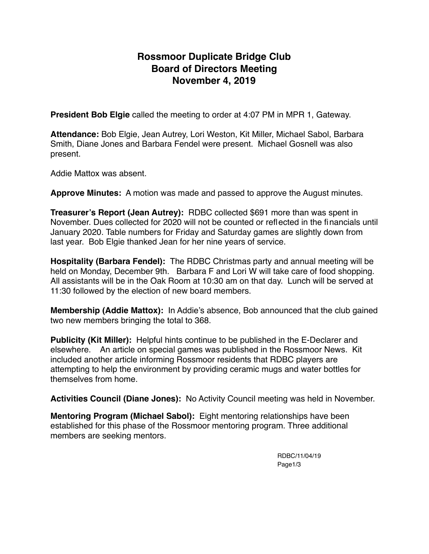# **Rossmoor Duplicate Bridge Club Board of Directors Meeting November 4, 2019**

**President Bob Elgie** called the meeting to order at 4:07 PM in MPR 1, Gateway.

**Attendance:** Bob Elgie, Jean Autrey, Lori Weston, Kit Miller, Michael Sabol, Barbara Smith, Diane Jones and Barbara Fendel were present. Michael Gosnell was also present.

Addie Mattox was absent.

**Approve Minutes:** A motion was made and passed to approve the August minutes.

**Treasurer's Report (Jean Autrey):** RDBC collected \$691 more than was spent in November. Dues collected for 2020 will not be counted or reflected in the financials until January 2020. Table numbers for Friday and Saturday games are slightly down from last year. Bob Elgie thanked Jean for her nine years of service.

**Hospitality (Barbara Fendel):** The RDBC Christmas party and annual meeting will be held on Monday, December 9th. Barbara F and Lori W will take care of food shopping. All assistants will be in the Oak Room at 10:30 am on that day. Lunch will be served at 11:30 followed by the election of new board members.

**Membership (Addie Mattox):** In Addie's absence, Bob announced that the club gained two new members bringing the total to 368.

**Publicity (Kit Miller):** Helpful hints continue to be published in the E-Declarer and elsewhere. An article on special games was published in the Rossmoor News. Kit included another article informing Rossmoor residents that RDBC players are attempting to help the environment by providing ceramic mugs and water bottles for themselves from home.

**Activities Council (Diane Jones):** No Activity Council meeting was held in November.

**Mentoring Program (Michael Sabol):** Eight mentoring relationships have been established for this phase of the Rossmoor mentoring program. Three additional members are seeking mentors.

> RDBC/11/04/19 Page1/3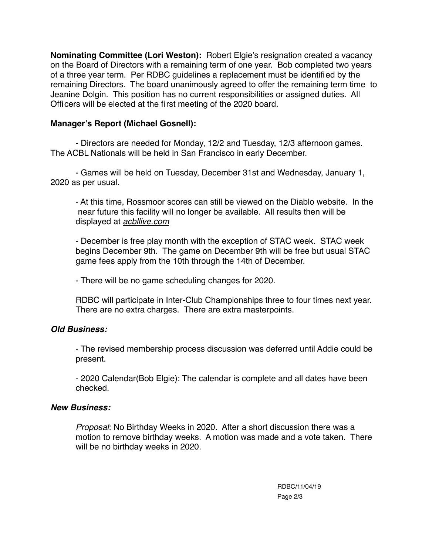**Nominating Committee (Lori Weston):** Robert Elgie's resignation created a vacancy on the Board of Directors with a remaining term of one year. Bob completed two years of a three year term. Per RDBC guidelines a replacement must be identified by the remaining Directors. The board unanimously agreed to offer the remaining term time to Jeanine Dolgin. This position has no current responsibilities or assigned duties. All Officers will be elected at the first meeting of the 2020 board.

### **Manager's Report (Michael Gosnell):**

- Directors are needed for Monday, 12/2 and Tuesday, 12/3 afternoon games. The ACBL Nationals will be held in San Francisco in early December.

- Games will be held on Tuesday, December 31st and Wednesday, January 1, 2020 as per usual.

- At this time, Rossmoor scores can still be viewed on the Diablo website. In the near future this facility will no longer be available. All results then will be displayed at *[acbllive.com](http://acbllive.com)*

- December is free play month with the exception of STAC week. STAC week begins December 9th. The game on December 9th will be free but usual STAC game fees apply from the 10th through the 14th of December.

- There will be no game scheduling changes for 2020.

 RDBC will participate in Inter-Club Championships three to four times next year. There are no extra charges. There are extra masterpoints.

#### *Old Business:*

- The revised membership process discussion was deferred until Addie could be present.

- 2020 Calendar(Bob Elgie): The calendar is complete and all dates have been checked.

#### *New Business:*

*Proposal*: No Birthday Weeks in 2020. After a short discussion there was a motion to remove birthday weeks. A motion was made and a vote taken. There will be no birthday weeks in 2020.